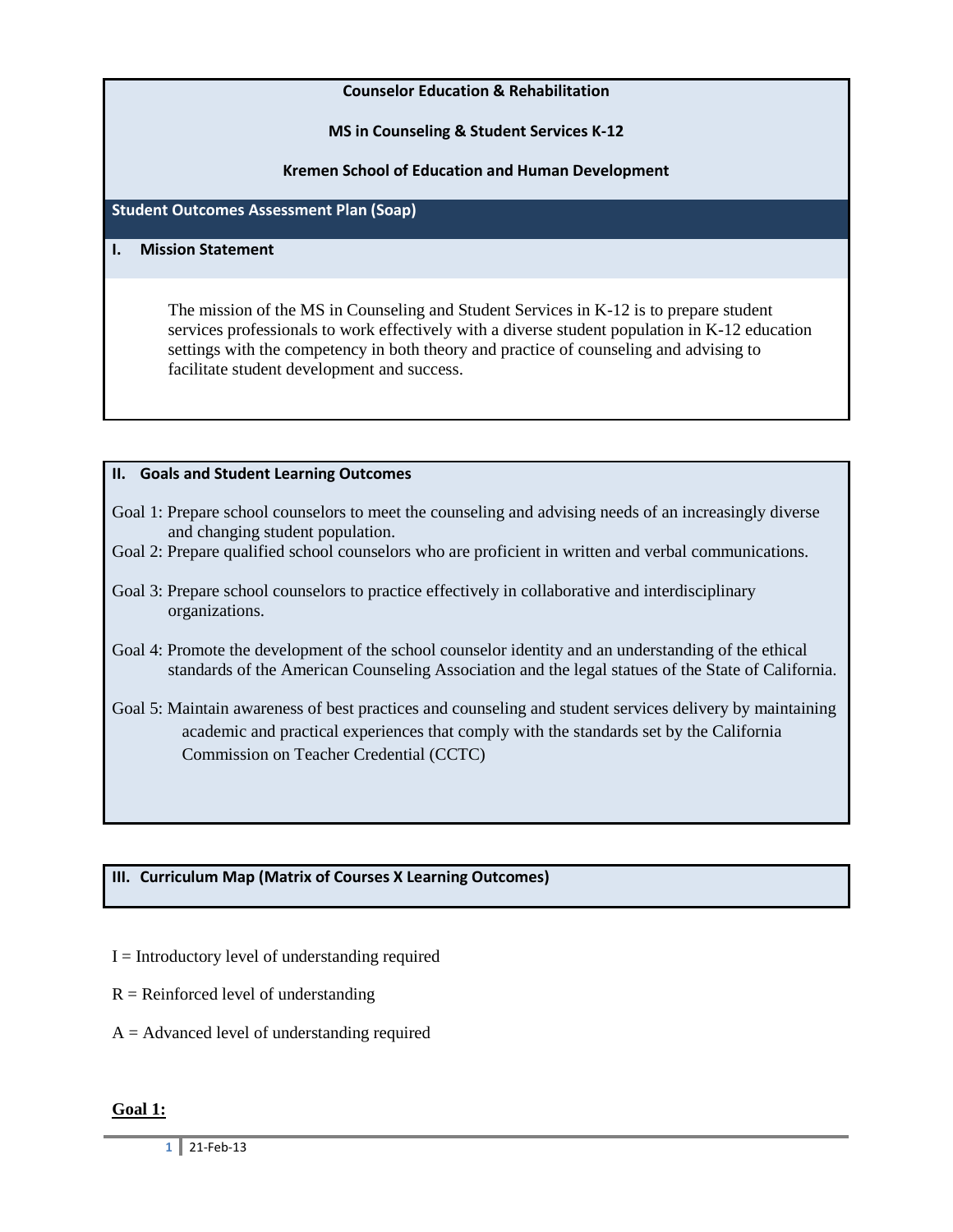### **Counselor Education & Rehabilitation**

**MS in Counseling & Student Services K-12**

**Kremen School of Education and Human Development**

### **Student Outcomes Assessment Plan (Soap)**

#### **I. Mission Statement**

The mission of the MS in Counseling and Student Services in K-12 is to prepare student services professionals to work effectively with a diverse student population in K-12 education settings with the competency in both theory and practice of counseling and advising to facilitate student development and success.

#### **II. Goals and Student Learning Outcomes**

- Goal 1: Prepare school counselors to meet the counseling and advising needs of an increasingly diverse and changing student population.
- Goal 2: Prepare qualified school counselors who are proficient in written and verbal communications.
- Goal 3: Prepare school counselors to practice effectively in collaborative and interdisciplinary organizations.
- Goal 4: Promote the development of the school counselor identity and an understanding of the ethical standards of the American Counseling Association and the legal statues of the State of California.
- Goal 5: Maintain awareness of best practices and counseling and student services delivery by maintaining academic and practical experiences that comply with the standards set by the California Commission on Teacher Credential (CCTC)

## **III. Curriculum Map (Matrix of Courses X Learning Outcomes)**

- $I = Introducing required$
- $R =$  Reinforced level of understanding
- $A = Advanced level of understanding required$

#### **Goal 1:**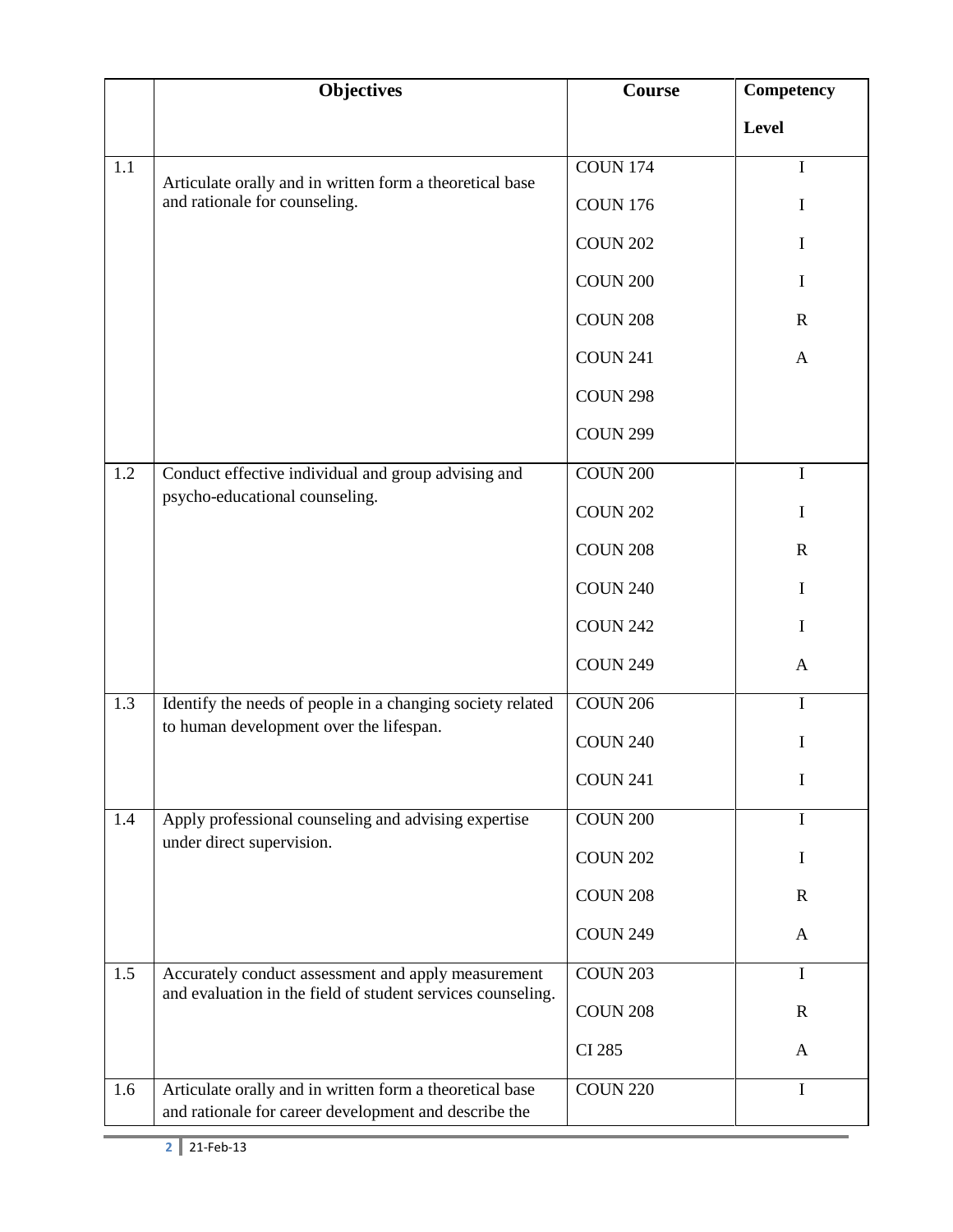|     | <b>Objectives</b>                                                                                                 | <b>Course</b>   | <b>Competency</b> |
|-----|-------------------------------------------------------------------------------------------------------------------|-----------------|-------------------|
|     |                                                                                                                   |                 | <b>Level</b>      |
| 1.1 | Articulate orally and in written form a theoretical base                                                          | <b>COUN 174</b> | $\bf{I}$          |
|     | and rationale for counseling.                                                                                     | <b>COUN 176</b> | I                 |
|     |                                                                                                                   | <b>COUN 202</b> | $\mathbf I$       |
|     |                                                                                                                   | <b>COUN 200</b> | I                 |
|     |                                                                                                                   | <b>COUN 208</b> | $\mathbf R$       |
|     |                                                                                                                   | <b>COUN 241</b> | A                 |
|     |                                                                                                                   | <b>COUN 298</b> |                   |
|     |                                                                                                                   | <b>COUN 299</b> |                   |
| 1.2 | Conduct effective individual and group advising and                                                               | <b>COUN 200</b> | $\mathbf I$       |
|     | psycho-educational counseling.                                                                                    | <b>COUN 202</b> | I                 |
|     |                                                                                                                   | <b>COUN 208</b> | $\mathbf R$       |
|     |                                                                                                                   | <b>COUN 240</b> | I                 |
|     |                                                                                                                   | <b>COUN 242</b> | I                 |
|     |                                                                                                                   | <b>COUN 249</b> | A                 |
| 1.3 | Identify the needs of people in a changing society related                                                        | <b>COUN 206</b> | $\mathbf I$       |
|     | to human development over the lifespan.                                                                           | <b>COUN 240</b> | I                 |
|     |                                                                                                                   | <b>COUN 241</b> | 1                 |
| 1.4 | Apply professional counseling and advising expertise                                                              | <b>COUN 200</b> | I                 |
|     | under direct supervision.                                                                                         | <b>COUN 202</b> | I                 |
|     |                                                                                                                   | <b>COUN 208</b> | $\mathbb{R}$      |
|     |                                                                                                                   | <b>COUN 249</b> | A                 |
| 1.5 | Accurately conduct assessment and apply measurement                                                               | <b>COUN 203</b> | I                 |
|     | and evaluation in the field of student services counseling.                                                       | <b>COUN 208</b> | $\mathbb{R}$      |
|     |                                                                                                                   | <b>CI 285</b>   | A                 |
| 1.6 | Articulate orally and in written form a theoretical base<br>and rationale for career development and describe the | <b>COUN 220</b> | $\bf{l}$          |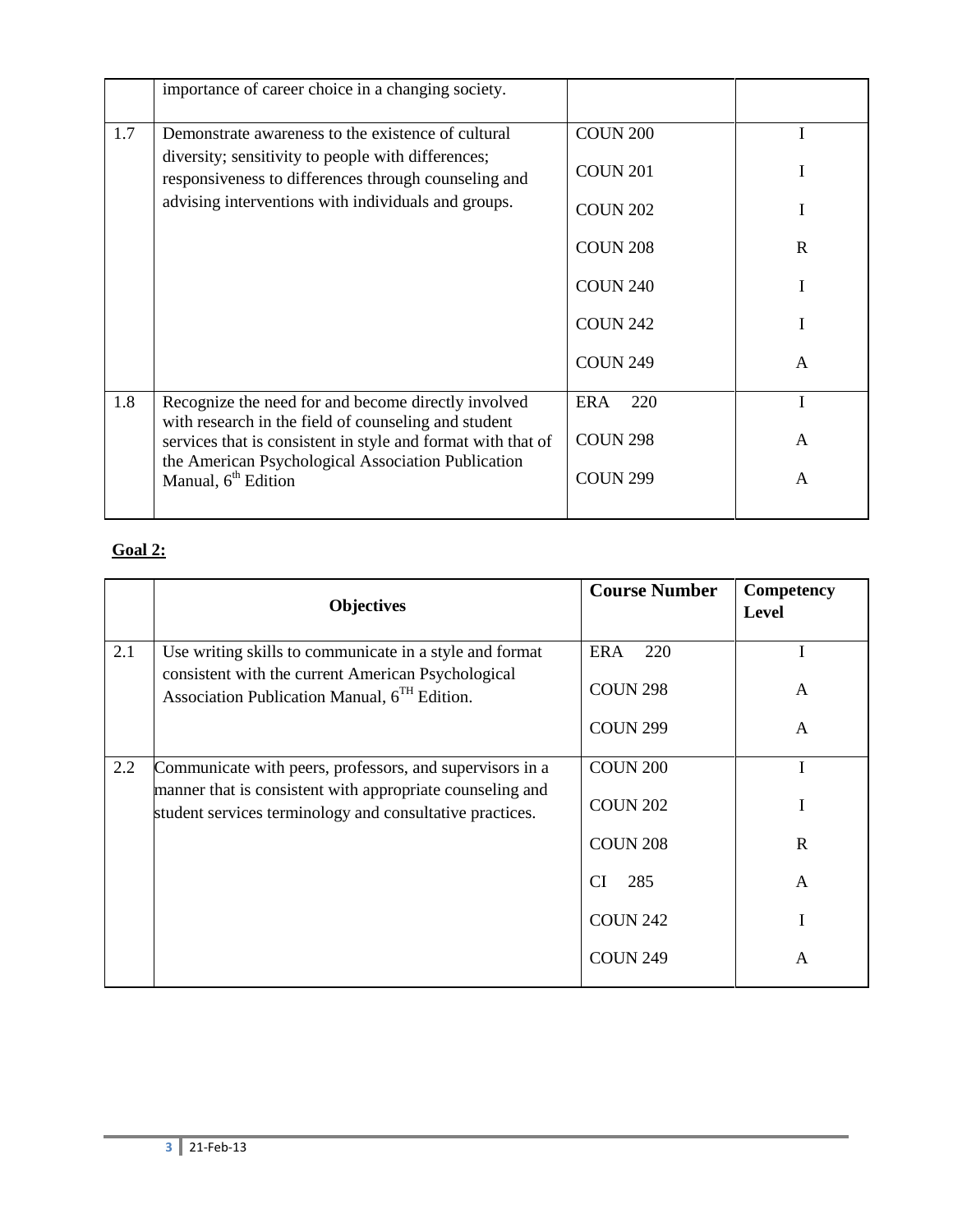|     | importance of career choice in a changing society.                                                          |                 |             |
|-----|-------------------------------------------------------------------------------------------------------------|-----------------|-------------|
| 1.7 | Demonstrate awareness to the existence of cultural                                                          | <b>COUN 200</b> |             |
|     | diversity; sensitivity to people with differences;<br>responsiveness to differences through counseling and  | <b>COUN 201</b> | I           |
|     | advising interventions with individuals and groups.                                                         | <b>COUN 202</b> |             |
|     |                                                                                                             | <b>COUN 208</b> | $\mathbf R$ |
|     |                                                                                                             | <b>COUN 240</b> |             |
|     |                                                                                                             | <b>COUN 242</b> | I           |
|     |                                                                                                             | <b>COUN 249</b> | A           |
| 1.8 | Recognize the need for and become directly involved<br>with research in the field of counseling and student | ERA<br>220      |             |
|     | services that is consistent in style and format with that of                                                | <b>COUN 298</b> | A           |
|     | the American Psychological Association Publication<br>Manual, 6 <sup>th</sup> Edition                       | <b>COUN 299</b> | A           |
|     |                                                                                                             |                 |             |

# **Goal 2:**

|     | <b>Objectives</b>                                                                                                                                               | <b>Course Number</b>                 | Competency<br>Level |
|-----|-----------------------------------------------------------------------------------------------------------------------------------------------------------------|--------------------------------------|---------------------|
| 2.1 | Use writing skills to communicate in a style and format<br>consistent with the current American Psychological<br>Association Publication Manual, $6TH$ Edition. | <b>ERA</b><br>220<br><b>COUN 298</b> | A                   |
|     |                                                                                                                                                                 | <b>COUN 299</b>                      | A                   |
| 2.2 | Communicate with peers, professors, and supervisors in a                                                                                                        | <b>COUN 200</b>                      |                     |
|     | manner that is consistent with appropriate counseling and<br>student services terminology and consultative practices.                                           | <b>COUN 202</b>                      |                     |
|     |                                                                                                                                                                 | <b>COUN 208</b>                      | $\mathbf R$         |
|     |                                                                                                                                                                 | 285<br><b>CI</b>                     | A                   |
|     |                                                                                                                                                                 | <b>COUN 242</b>                      |                     |
|     |                                                                                                                                                                 | <b>COUN 249</b>                      | A                   |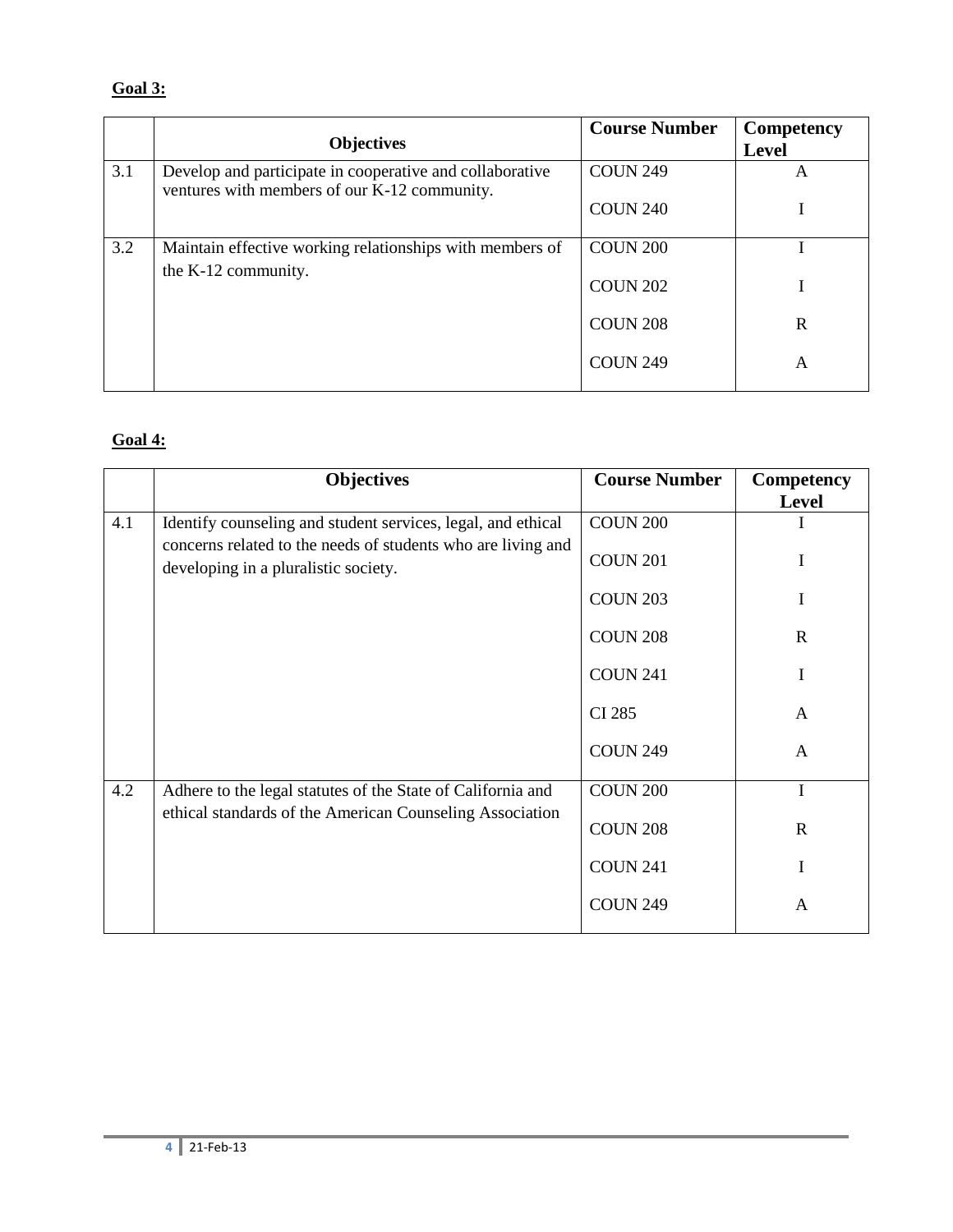# **Goal 3:**

|     | <b>Objectives</b>                                                                                        | <b>Course Number</b> | <b>Competency</b><br><b>Level</b> |
|-----|----------------------------------------------------------------------------------------------------------|----------------------|-----------------------------------|
| 3.1 | Develop and participate in cooperative and collaborative<br>ventures with members of our K-12 community. | <b>COUN 249</b>      | A                                 |
|     |                                                                                                          | <b>COUN 240</b>      |                                   |
| 3.2 | Maintain effective working relationships with members of                                                 | <b>COUN 200</b>      |                                   |
|     | the K-12 community.                                                                                      | <b>COUN 202</b>      |                                   |
|     |                                                                                                          | <b>COUN 208</b>      | $\mathbf R$                       |
|     |                                                                                                          | <b>COUN 249</b>      | A                                 |

# **Goal 4:**

|     | <b>Objectives</b>                                                                                                            | <b>Course Number</b> | Competency<br>Level |
|-----|------------------------------------------------------------------------------------------------------------------------------|----------------------|---------------------|
| 4.1 | Identify counseling and student services, legal, and ethical<br>concerns related to the needs of students who are living and | <b>COUN 200</b>      |                     |
|     | developing in a pluralistic society.                                                                                         | <b>COUN 201</b>      | Ι                   |
|     |                                                                                                                              | <b>COUN 203</b>      | I                   |
|     |                                                                                                                              | <b>COUN 208</b>      | $\mathbf R$         |
|     |                                                                                                                              | <b>COUN 241</b>      |                     |
|     |                                                                                                                              | <b>CI 285</b>        | A                   |
|     |                                                                                                                              | <b>COUN 249</b>      | A                   |
| 4.2 | Adhere to the legal statutes of the State of California and<br>ethical standards of the American Counseling Association      | <b>COUN 200</b>      |                     |
|     |                                                                                                                              | <b>COUN 208</b>      | $\mathbf R$         |
|     |                                                                                                                              | <b>COUN 241</b>      | I                   |
|     |                                                                                                                              | <b>COUN 249</b>      | A                   |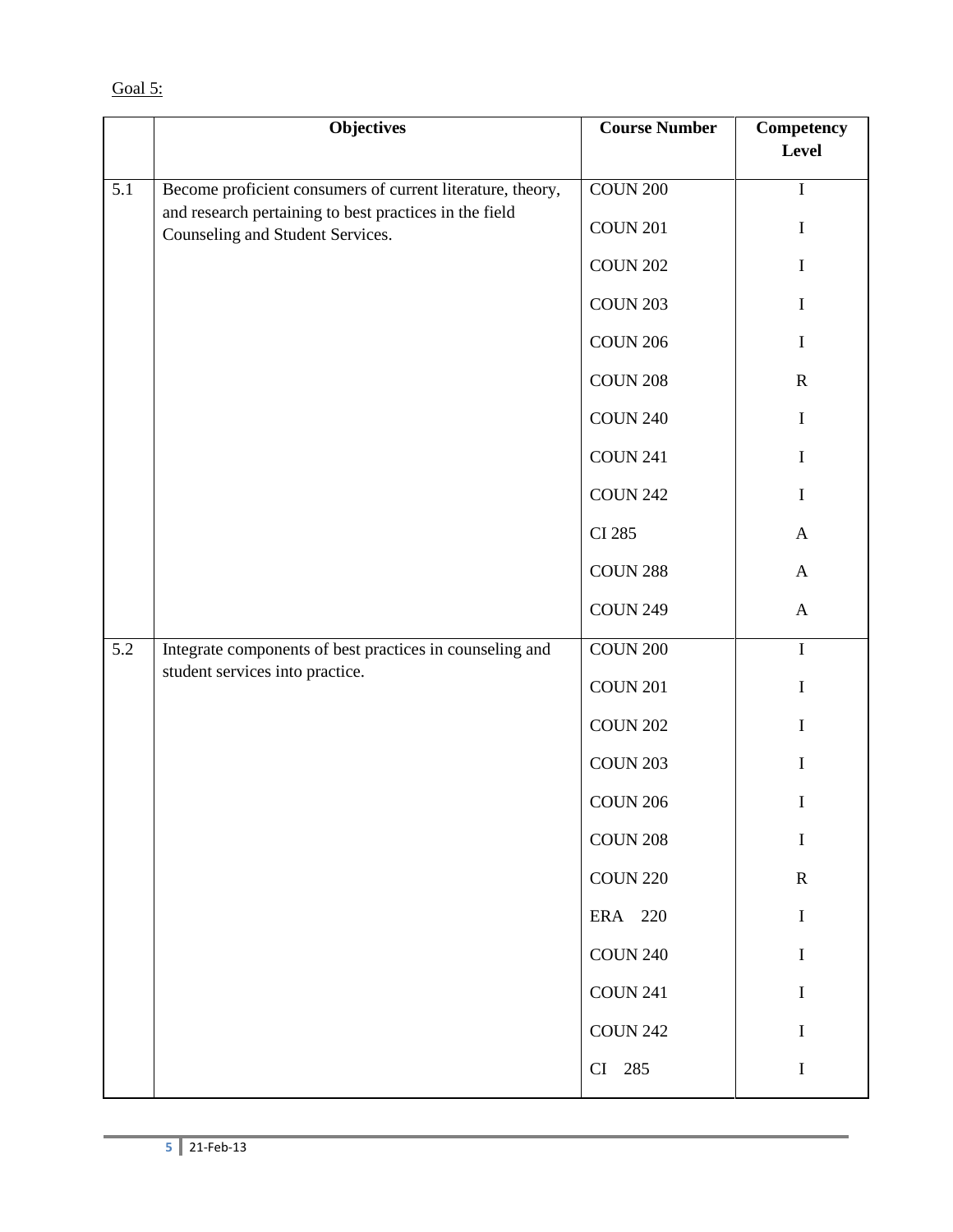|     | <b>Objectives</b>                                                                          | <b>Course Number</b> | Competency<br>Level |
|-----|--------------------------------------------------------------------------------------------|----------------------|---------------------|
|     |                                                                                            |                      |                     |
| 5.1 | Become proficient consumers of current literature, theory,                                 | <b>COUN 200</b>      | I                   |
|     | and research pertaining to best practices in the field<br>Counseling and Student Services. | <b>COUN 201</b>      | I                   |
|     |                                                                                            | <b>COUN 202</b>      | I                   |
|     |                                                                                            | <b>COUN 203</b>      | I                   |
|     |                                                                                            | <b>COUN 206</b>      | $\bf{I}$            |
|     |                                                                                            | <b>COUN 208</b>      | $\mathbf R$         |
|     |                                                                                            | <b>COUN 240</b>      | $\mathbf I$         |
|     |                                                                                            | <b>COUN 241</b>      | $\mathbf I$         |
|     |                                                                                            | <b>COUN 242</b>      | $\bf I$             |
|     |                                                                                            | <b>CI 285</b>        | $\mathbf{A}$        |
|     |                                                                                            | <b>COUN 288</b>      | $\mathbf{A}$        |
|     |                                                                                            | <b>COUN 249</b>      | $\mathbf{A}$        |
| 5.2 | Integrate components of best practices in counseling and                                   | $\rm COUN$ $200$     | $\bf I$             |
|     | student services into practice.                                                            | <b>COUN 201</b>      | $\bf{I}$            |
|     |                                                                                            | <b>COUN 202</b>      | $\bf{I}$            |
|     |                                                                                            | <b>COUN 203</b>      | I                   |
|     |                                                                                            | <b>COUN 206</b>      | I                   |
|     |                                                                                            | <b>COUN 208</b>      | I                   |
|     |                                                                                            | <b>COUN 220</b>      | ${\bf R}$           |
|     |                                                                                            | ERA 220              | I                   |
|     |                                                                                            | <b>COUN 240</b>      | I                   |
|     |                                                                                            | <b>COUN 241</b>      | I                   |
|     |                                                                                            | <b>COUN 242</b>      | I                   |
|     |                                                                                            | CI 285               | $\bf{I}$            |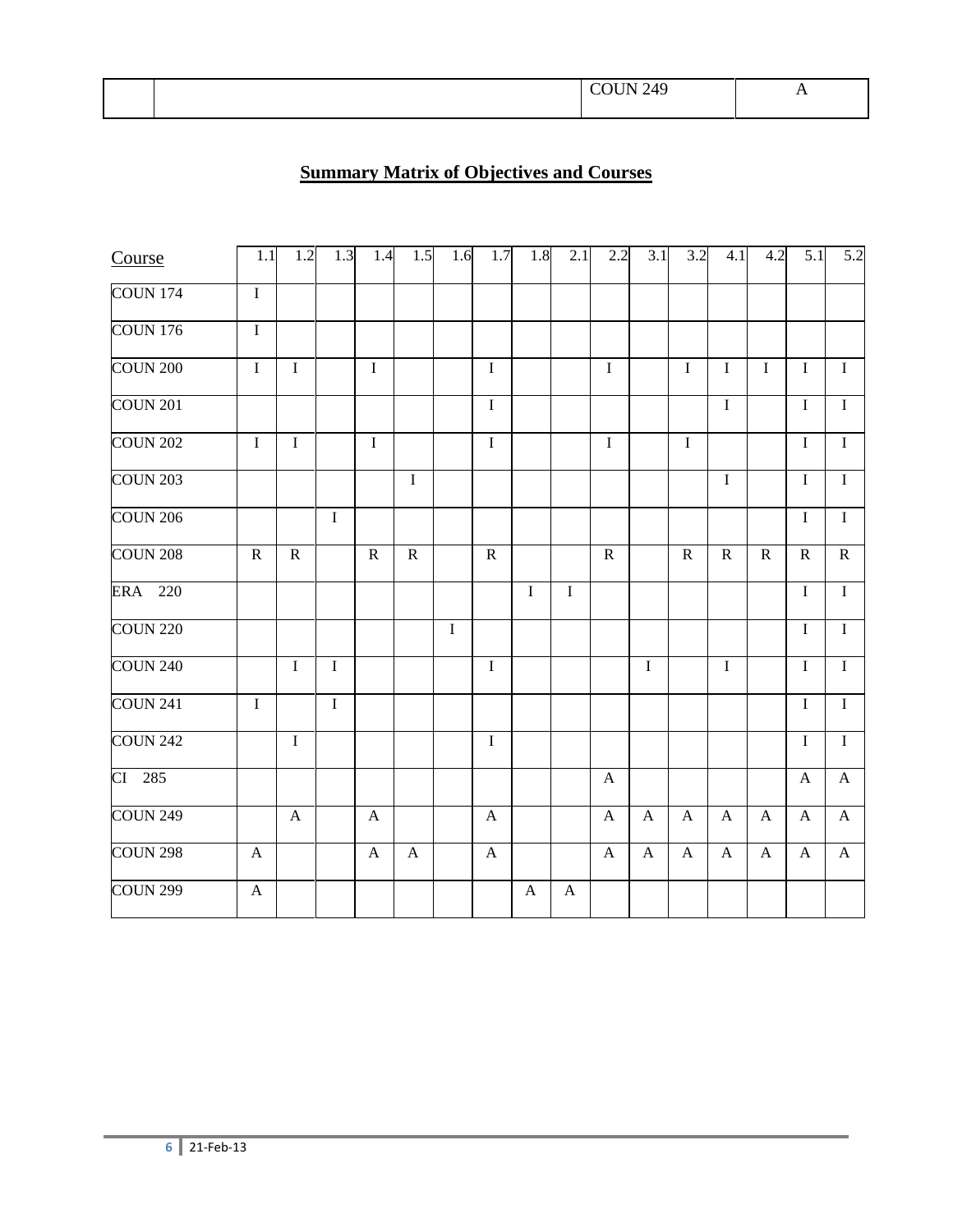|  | $\overline{10}$ |  |  |
|--|-----------------|--|--|
|--|-----------------|--|--|

## **Summary Matrix of Objectives and Courses**

| Course              | 1.1                       | 1.2                       | 1.3            | 1.4                       | 1.5          | 1.6     | 1.7                       | 1.8          | 2.1          | 2.2          | 3.1            | 3.2          | 4.1            | 4.2          | 5.1            | 5.2            |
|---------------------|---------------------------|---------------------------|----------------|---------------------------|--------------|---------|---------------------------|--------------|--------------|--------------|----------------|--------------|----------------|--------------|----------------|----------------|
| <b>COUN 174</b>     | $\mathbf I$               |                           |                |                           |              |         |                           |              |              |              |                |              |                |              |                |                |
| <b>COUN 176</b>     | $\mathbf I$               |                           |                |                           |              |         |                           |              |              |              |                |              |                |              |                |                |
| <b>COUN 200</b>     | $\mathbf I$               | $\mathbf I$               |                | $\mathbf I$               |              |         | $\bf I$                   |              |              | $\mathbf I$  |                | $\mathbf I$  | $\mathbf I$    | $\mathbf I$  | $\mathbf I$    | $\mathbf I$    |
| <b>COUN 201</b>     |                           |                           |                |                           |              |         | $\overline{I}$            |              |              |              |                |              | $\overline{I}$ |              | $\mathbf I$    | $\overline{I}$ |
| <b>COUN 202</b>     | $\bf I$                   | $\mathbf I$               |                | $\bf I$                   |              |         | $\overline{I}$            |              |              | $\mathbf I$  |                | $\mathbf I$  |                |              | $\rm I$        | $\mathbf I$    |
| <b>COUN 203</b>     |                           |                           |                |                           | $\mathbf I$  |         |                           |              |              |              |                |              | I              |              | $\mathbf I$    | $\overline{I}$ |
| <b>COUN 206</b>     |                           |                           | $\overline{I}$ |                           |              |         |                           |              |              |              |                |              |                |              | $\bf I$        | $\overline{I}$ |
| <b>COUN 208</b>     | ${\bf R}$                 | ${\bf R}$                 |                | ${\bf R}$                 | ${\bf R}$    |         | $\mathbf R$               |              |              | ${\bf R}$    |                | ${\bf R}$    | ${\bf R}$      | $\mathbf R$  | ${\bf R}$      | ${\bf R}$      |
| ERA 220             |                           |                           |                |                           |              |         |                           | $\bf I$      | $\bf I$      |              |                |              |                |              | $\bf I$        | $\mathbf I$    |
| <b>COUN 220</b>     |                           |                           |                |                           |              | $\bf I$ |                           |              |              |              |                |              |                |              | $\mathbf I$    | $\mathbf I$    |
| <b>COUN 240</b>     |                           | $\mathbf I$               | $\overline{I}$ |                           |              |         | $\overline{I}$            |              |              |              | $\overline{I}$ |              | $\overline{I}$ |              | $\overline{I}$ | $\overline{I}$ |
| COUN <sub>241</sub> | $\bf I$                   |                           | $\overline{I}$ |                           |              |         |                           |              |              |              |                |              |                |              | $\mathbf I$    | $\overline{I}$ |
| <b>COUN 242</b>     |                           | $\overline{I}$            |                |                           |              |         | $\overline{I}$            |              |              |              |                |              |                |              | $\mathbf I$    | $\overline{I}$ |
| CI 285              |                           |                           |                |                           |              |         |                           |              |              | $\mathbf{A}$ |                |              |                |              | $\mathbf{A}$   | $\mathbf{A}$   |
| <b>COUN 249</b>     |                           | $\boldsymbol{\mathsf{A}}$ |                | $\boldsymbol{\mathsf{A}}$ |              |         | $\boldsymbol{\mathsf{A}}$ |              |              | $\mathbf{A}$ | $\mathbf{A}$   | $\mathbf{A}$ | $\mathbf{A}$   | $\mathbf{A}$ | $\mathbf{A}$   | $\mathbf{A}$   |
| <b>COUN 298</b>     | $\boldsymbol{\mathsf{A}}$ |                           |                | $\boldsymbol{\mathsf{A}}$ | $\mathbf{A}$ |         | $\boldsymbol{\mathsf{A}}$ |              |              | $\mathbf{A}$ | $\mathbf{A}$   | $\mathbf{A}$ | $\mathbf{A}$   | $\mathbf{A}$ | $\mathbf{A}$   | $\mathbf{A}$   |
| <b>COUN 299</b>     | $\mathbf{A}$              |                           |                |                           |              |         |                           | $\mathbf{A}$ | $\mathbf{A}$ |              |                |              |                |              |                |                |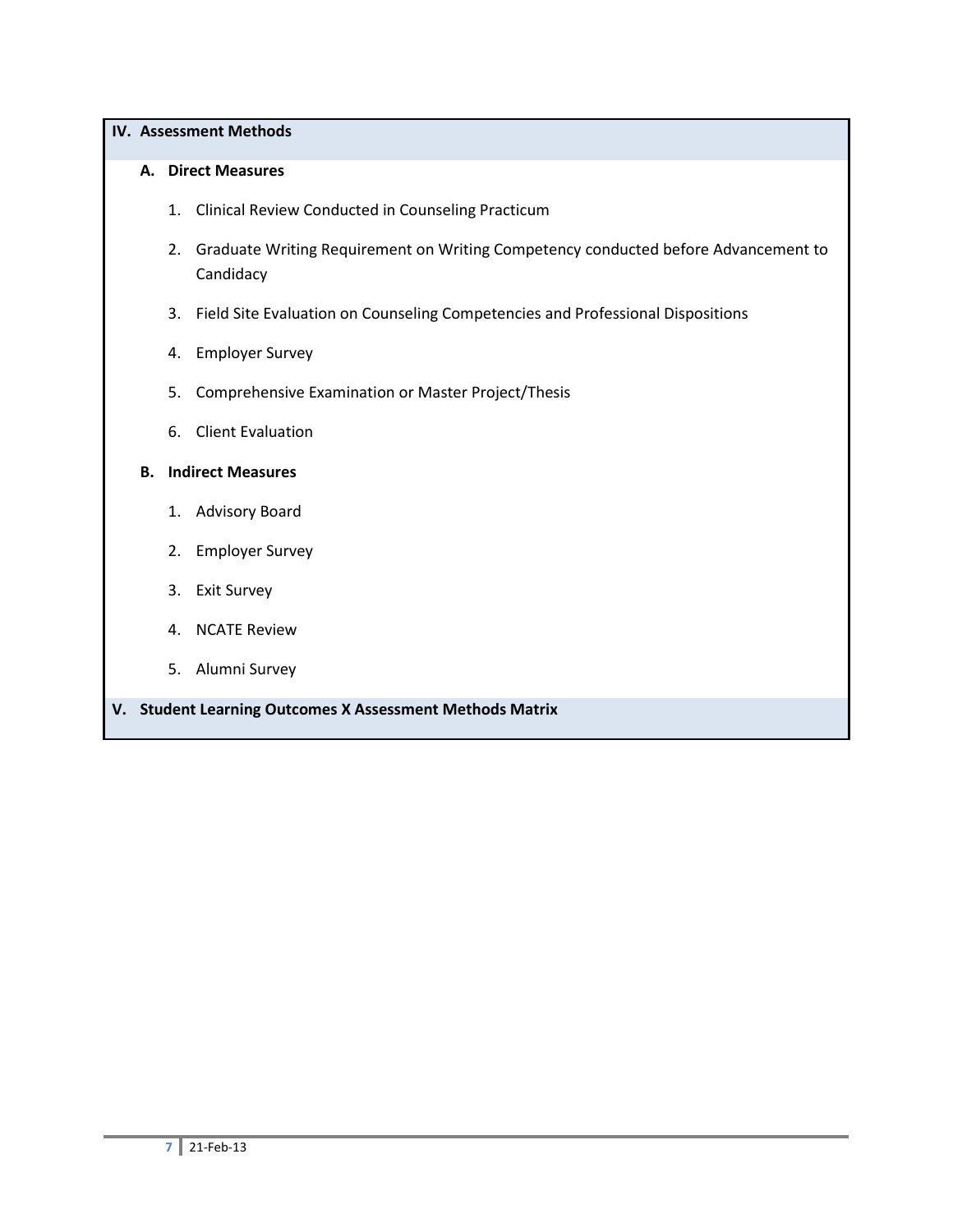### **IV. Assessment Methods**

### **A. Direct Measures**

- 1. Clinical Review Conducted in Counseling Practicum
- 2. Graduate Writing Requirement on Writing Competency conducted before Advancement to **Candidacy**
- 3. Field Site Evaluation on Counseling Competencies and Professional Dispositions
- 4. Employer Survey
- 5. Comprehensive Examination or Master Project/Thesis
- 6. Client Evaluation

## **B. Indirect Measures**

- 1. Advisory Board
- 2. Employer Survey
- 3. Exit Survey
- 4. NCATE Review
- 5. Alumni Survey
- **V. Student Learning Outcomes X Assessment Methods Matrix**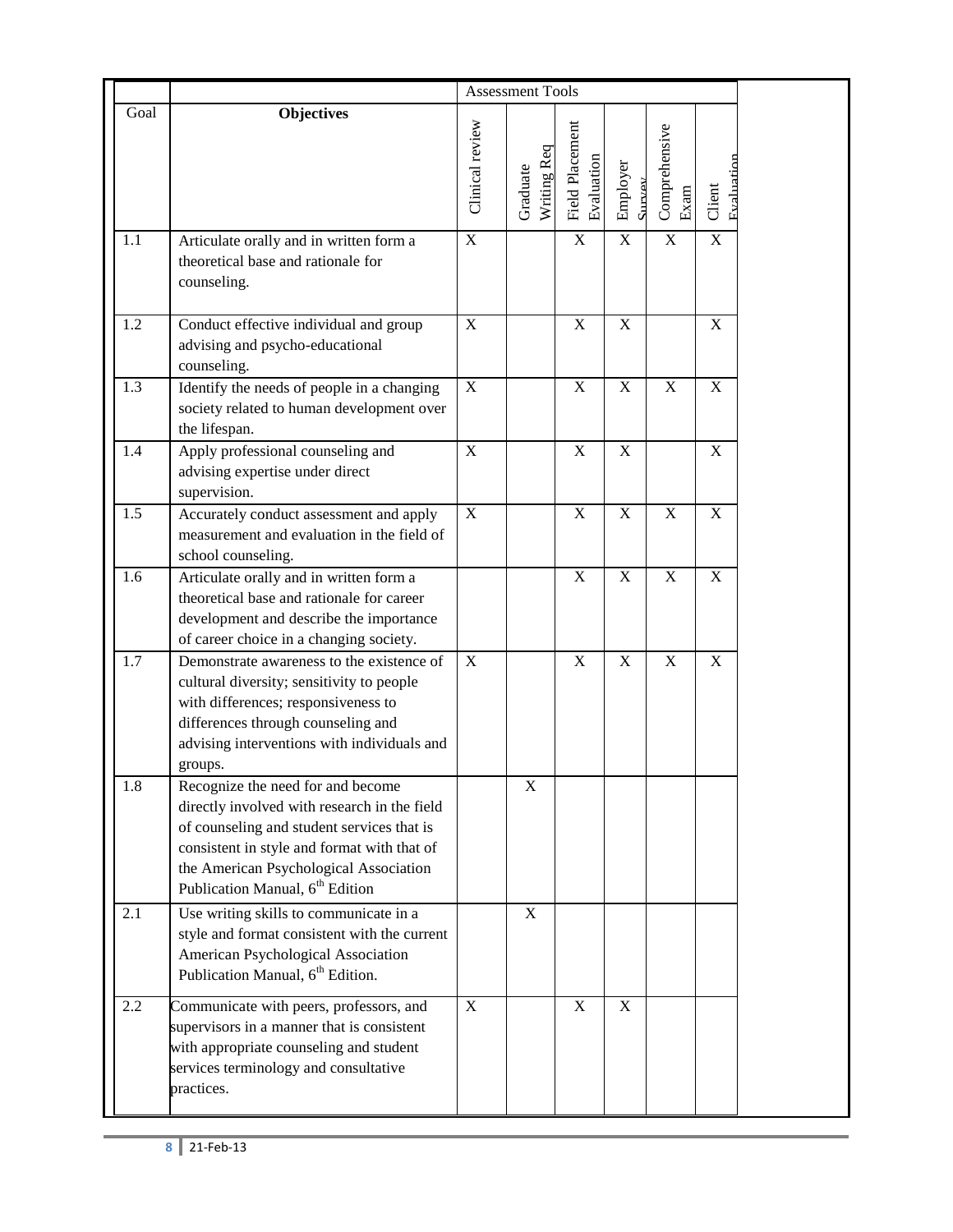|      |                                                                                                                                                                                                                                                                         |                 | <b>Assessment Tools</b> |                               |                    |                       |                      |  |
|------|-------------------------------------------------------------------------------------------------------------------------------------------------------------------------------------------------------------------------------------------------------------------------|-----------------|-------------------------|-------------------------------|--------------------|-----------------------|----------------------|--|
| Goal | <b>Objectives</b>                                                                                                                                                                                                                                                       | Clinical review | Writing Req<br>Graduate | Field Placement<br>Evaluation | Employer<br>SILVEY | Comprehensive<br>Exam | Evaluation<br>Client |  |
| 1.1  | Articulate orally and in written form a<br>theoretical base and rationale for<br>counseling.                                                                                                                                                                            | $\overline{X}$  |                         | $\overline{X}$                | $\mathbf X$        | $\mathbf X$           | $\overline{X}$       |  |
| 1.2  | Conduct effective individual and group<br>advising and psycho-educational<br>counseling.                                                                                                                                                                                | $\mathbf X$     |                         | $\mathbf X$                   | $\mathbf X$        |                       | X                    |  |
| 1.3  | Identify the needs of people in a changing<br>society related to human development over<br>the lifespan.                                                                                                                                                                | $\mathbf X$     |                         | $\mathbf X$                   | $\mathbf X$        | $\mathbf X$           | X                    |  |
| 1.4  | Apply professional counseling and<br>advising expertise under direct<br>supervision.                                                                                                                                                                                    | $\mathbf X$     |                         | $\mathbf X$                   | X                  |                       | X                    |  |
| 1.5  | Accurately conduct assessment and apply<br>measurement and evaluation in the field of<br>school counseling.                                                                                                                                                             | X               |                         | $\mathbf X$                   | $\mathbf X$        | $\mathbf X$           | X                    |  |
| 1.6  | Articulate orally and in written form a<br>theoretical base and rationale for career<br>development and describe the importance<br>of career choice in a changing society.                                                                                              |                 |                         | $\overline{X}$                | $\mathbf X$        | $\mathbf X$           | X                    |  |
| 1.7  | Demonstrate awareness to the existence of<br>cultural diversity; sensitivity to people<br>with differences; responsiveness to<br>differences through counseling and<br>advising interventions with individuals and<br>groups.                                           | $\mathbf X$     |                         | $\mathbf X$                   | X                  | $\mathbf X$           | X                    |  |
| 1.8  | Recognize the need for and become<br>directly involved with research in the field<br>of counseling and student services that is<br>consistent in style and format with that of<br>the American Psychological Association<br>Publication Manual, 6 <sup>th</sup> Edition |                 | $\mathbf X$             |                               |                    |                       |                      |  |
| 2.1  | Use writing skills to communicate in a<br>style and format consistent with the current<br>American Psychological Association<br>Publication Manual, 6 <sup>th</sup> Edition.                                                                                            |                 | $\mathbf X$             |                               |                    |                       |                      |  |
| 2.2  | Communicate with peers, professors, and<br>supervisors in a manner that is consistent<br>with appropriate counseling and student<br>services terminology and consultative<br>practices.                                                                                 | X               |                         | $\mathbf X$                   | $\mathbf X$        |                       |                      |  |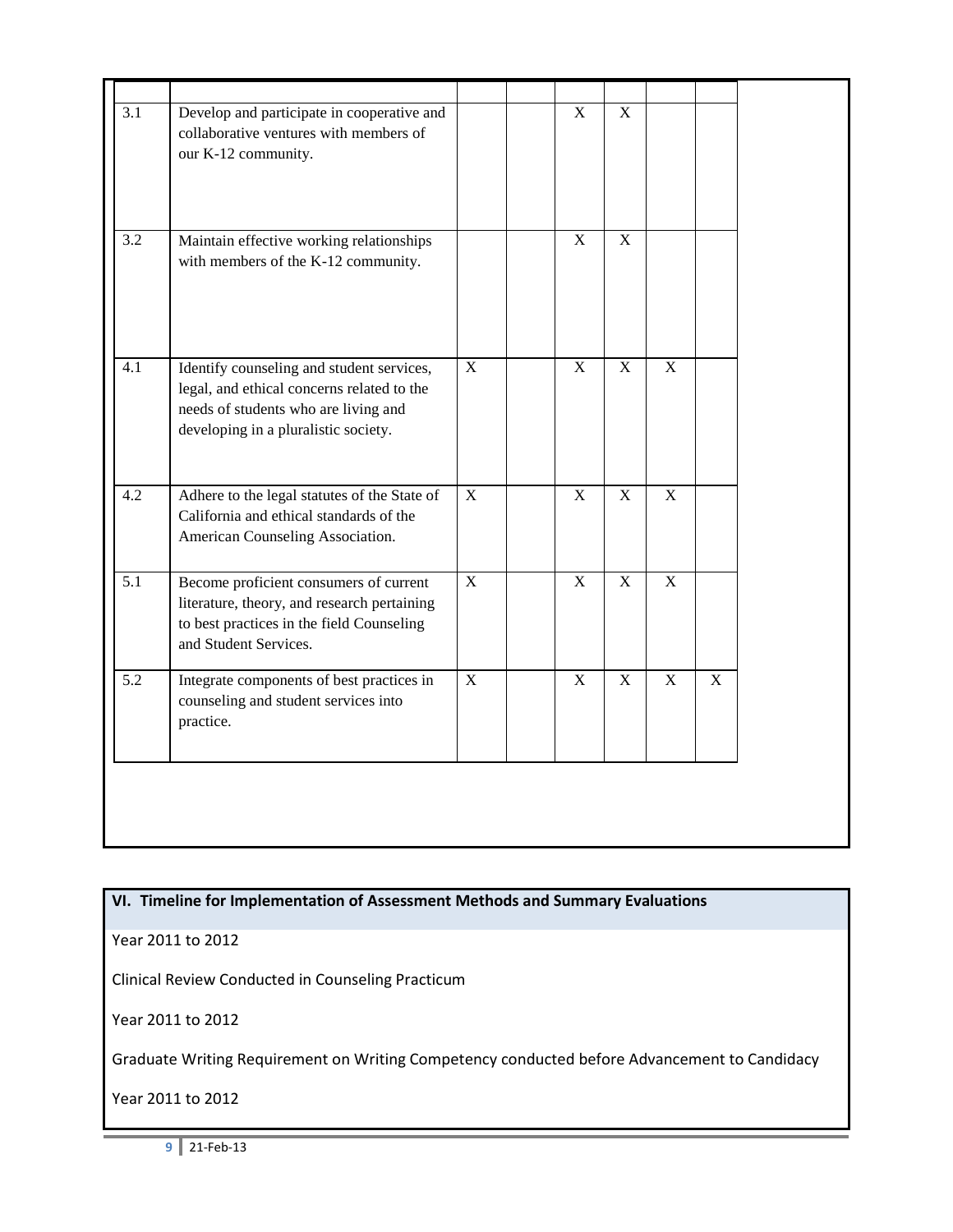| $\overline{3.1}$ | Develop and participate in cooperative and<br>collaborative ventures with members of<br>our K-12 community.                                                             |             | $\overline{X}$            | $\overline{X}$ |                |   |  |
|------------------|-------------------------------------------------------------------------------------------------------------------------------------------------------------------------|-------------|---------------------------|----------------|----------------|---|--|
| 3.2              | Maintain effective working relationships<br>with members of the K-12 community.                                                                                         |             | $\mathbf X$               | $\mathbf X$    |                |   |  |
| 4.1              | Identify counseling and student services,<br>legal, and ethical concerns related to the<br>needs of students who are living and<br>developing in a pluralistic society. | $\mathbf X$ | $\boldsymbol{\mathrm{X}}$ | $\mathbf X$    | $\mathbf X$    |   |  |
| 4.2              | Adhere to the legal statutes of the State of<br>California and ethical standards of the<br>American Counseling Association.                                             | $\mathbf X$ | $\overline{\mathbf{X}}$   | $\mathbf X$    | $\overline{X}$ |   |  |
| 5.1              | Become proficient consumers of current<br>literature, theory, and research pertaining<br>to best practices in the field Counseling<br>and Student Services.             | $\mathbf X$ | $\mathbf X$               | $\mathbf X$    | $\mathbf X$    |   |  |
| 5.2              | Integrate components of best practices in<br>counseling and student services into<br>practice.                                                                          | $\mathbf X$ | $\mathbf X$               | $\mathbf X$    | $\mathbf X$    | X |  |
|                  |                                                                                                                                                                         |             |                           |                |                |   |  |

**VI. Timeline for Implementation of Assessment Methods and Summary Evaluations**

Year 2011 to 2012

Clinical Review Conducted in Counseling Practicum

Year 2011 to 2012

Graduate Writing Requirement on Writing Competency conducted before Advancement to Candidacy

Year 2011 to 2012